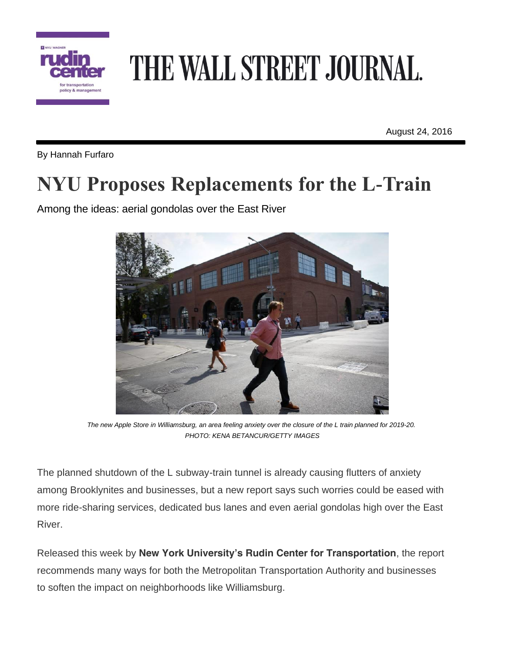

## THE WALL STREET JOURNAL.

August 24, 2016

By Hannah Furfaro

## **NYU Proposes Replacements for the L-Train**

Among the ideas: aerial gondolas over the East River



The new Apple Store in Williamsburg, an area feeling anxiety over the closure of the L train planned for 2019-20. *PHOTO: KENA BETANCUR/GETTY IMAGES*

The planned shutdown of the L subway-train tunnel is already causing flutters of anxiety among Brooklynites and businesses, but a new report says such worries could be eased with more ride-sharing services, dedicated bus lanes and even aerial gondolas high over the East River.

Released this week by **New York University's Rudin Center for Transportation**, the report recommends many ways for both the Metropolitan Transportation Authority and businesses to soften the impact on neighborhoods like Williamsburg.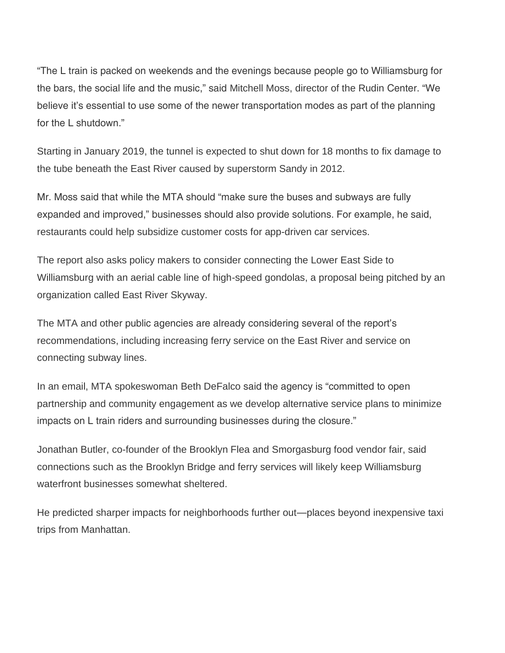"The L train is packed on weekends and the evenings because people go to Williamsburg for the bars, the social life and the music," said Mitchell Moss, director of the Rudin Center. "We believe it's essential to use some of the newer transportation modes as part of the planning for the L shutdown."

Starting in January 2019, the tunnel is expected to shut down for 18 months to fix damage to the tube beneath the East River caused by superstorm Sandy in 2012.

Mr. Moss said that while the MTA should "make sure the buses and subways are fully expanded and improved," businesses should also provide solutions. For example, he said, restaurants could help subsidize customer costs for app-driven car services.

The report also asks policy makers to consider connecting the Lower East Side to Williamsburg with an aerial cable line of high-speed gondolas, a proposal being pitched by an organization called East River Skyway.

The MTA and other public agencies are already considering several of the report's recommendations, including increasing ferry service on the East River and service on connecting subway lines.

In an email, MTA spokeswoman Beth DeFalco said the agency is "committed to open partnership and community engagement as we develop alternative service plans to minimize impacts on L train riders and surrounding businesses during the closure."

Jonathan Butler, co-founder of the Brooklyn Flea and Smorgasburg food vendor fair, said connections such as the Brooklyn Bridge and ferry services will likely keep Williamsburg waterfront businesses somewhat sheltered.

He predicted sharper impacts for neighborhoods further out—places beyond inexpensive taxi trips from Manhattan.